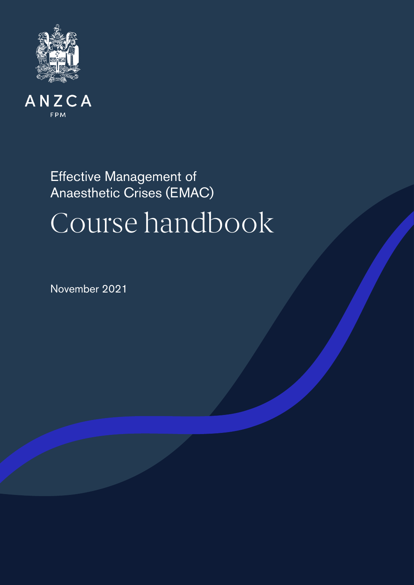



# Effective Management of Anaesthetic Crises (EMAC) Course handbook

November 2021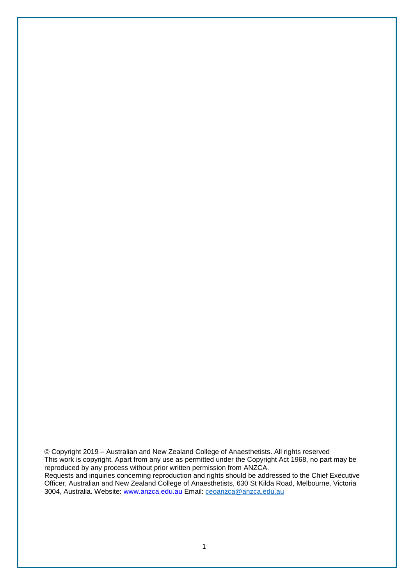© Copyright 2019 – Australian and New Zealand College of Anaesthetists. All rights reserved This work is copyright. Apart from any use as permitted under the Copyright Act 1968, no part may be reproduced by any process without prior written permission from ANZCA. Requests and inquiries concerning reproduction and rights should be addressed to the Chief Executive Officer, Australian and New Zealand College of Anaesthetists, 630 St Kilda Road, Melbourne, Victoria 3004, Australia. Website: www.anzca.edu.au Email: [ceoanzca@anzca.edu.au](mailto:ceoanzca@anzca.edu.au)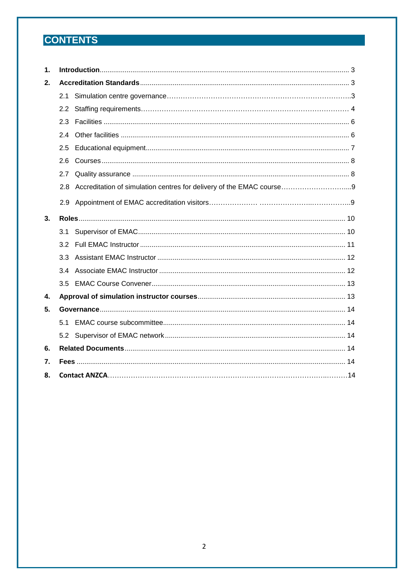## **CONTENTS**

| 1. |               |                                                                      |  |  |  |  |
|----|---------------|----------------------------------------------------------------------|--|--|--|--|
| 2. |               |                                                                      |  |  |  |  |
|    | 2.1           |                                                                      |  |  |  |  |
|    | $2.2^{\circ}$ |                                                                      |  |  |  |  |
|    | 2.3           |                                                                      |  |  |  |  |
|    | 2.4           |                                                                      |  |  |  |  |
|    | 2.5           |                                                                      |  |  |  |  |
|    | 2.6           |                                                                      |  |  |  |  |
|    | 2.7           |                                                                      |  |  |  |  |
|    | 2.8           | Accreditation of simulation centres for delivery of the EMAC course9 |  |  |  |  |
|    | 2.9           |                                                                      |  |  |  |  |
| 3. |               |                                                                      |  |  |  |  |
|    | 3.1           |                                                                      |  |  |  |  |
|    | 3.2           |                                                                      |  |  |  |  |
|    | 3.3           |                                                                      |  |  |  |  |
|    | 3.4           |                                                                      |  |  |  |  |
|    | 3.5           |                                                                      |  |  |  |  |
| 4. |               |                                                                      |  |  |  |  |
| 5. |               |                                                                      |  |  |  |  |
|    | 51            |                                                                      |  |  |  |  |
|    |               |                                                                      |  |  |  |  |
| 6. |               |                                                                      |  |  |  |  |
| 7. |               |                                                                      |  |  |  |  |
| 8. |               |                                                                      |  |  |  |  |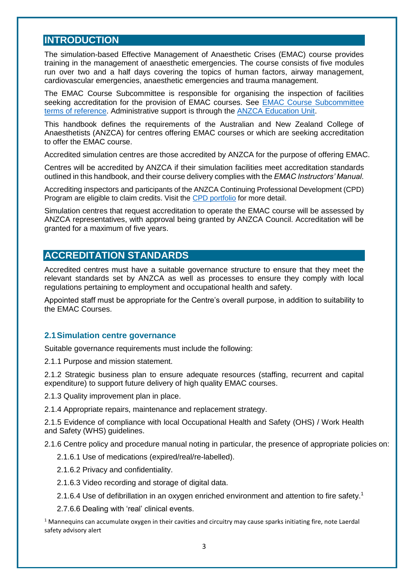## <span id="page-3-0"></span>**INTRODUCTION**

The simulation-based Effective Management of Anaesthetic Crises (EMAC) course provides training in the management of anaesthetic emergencies. The course consists of five modules run over two and a half days covering the topics of human factors, airway management, cardiovascular emergencies, anaesthetic emergencies and trauma management.

The EMAC Course Subcommittee is responsible for organising the inspection of facilities seeking accreditation for the provision of EMAC courses. See **EMAC Course Subcommittee** [terms of reference.](https://networks.anzca.edu.au/d2l/le/content/7396/viewContent/85994/View) Administrative support is through the [ANZCA Education Unit.](mailto:emac@anzca.edu.au)

This handbook defines the requirements of the Australian and New Zealand College of Anaesthetists (ANZCA) for centres offering EMAC courses or which are seeking accreditation to offer the EMAC course.

Accredited simulation centres are those accredited by ANZCA for the purpose of offering EMAC.

Centres will be accredited by ANZCA if their simulation facilities meet accreditation standards outlined in this handbook, and their course delivery complies with the *EMAC Instructors' Manual*.

Accrediting inspectors and participants of the ANZCA Continuing Professional Development (CPD) Program are eligible to claim credits. Visit the CPD [portfolio](https://cpd.anzca.edu.au/) for more detail.

Simulation centres that request accreditation to operate the EMAC course will be assessed by ANZCA representatives, with approval being granted by ANZCA Council. Accreditation will be granted for a maximum of five years.

## <span id="page-3-1"></span>**ACCREDITATION STANDARDS**

Accredited centres must have a suitable governance structure to ensure that they meet the relevant standards set by ANZCA as well as processes to ensure they comply with local regulations pertaining to employment and occupational health and safety.

Appointed staff must be appropriate for the Centre's overall purpose, in addition to suitability to the EMAC Courses.

#### <span id="page-3-2"></span>**2.1Simulation centre governance**

Suitable governance requirements must include the following:

2.1.1 Purpose and mission statement.

2.1.2 Strategic business plan to ensure adequate resources (staffing, recurrent and capital expenditure) to support future delivery of high quality EMAC courses.

2.1.3 Quality improvement plan in place.

2.1.4 Appropriate repairs, maintenance and replacement strategy.

2.1.5 Evidence of compliance with local Occupational Health and Safety (OHS) / Work Health and Safety (WHS) guidelines.

2.1.6 Centre policy and procedure manual noting in particular, the presence of appropriate policies on:

- 2.1.6.1 Use of medications (expired/real/re-labelled).
- 2.1.6.2 Privacy and confidentiality.
- 2.1.6.3 Video recording and storage of digital data.
- 2.1.6.4 Use of defibrillation in an oxygen enriched environment and attention to fire safety.<sup>1</sup>

2.7.6.6 Dealing with 'real' clinical events.

 $1$  Mannequins can accumulate oxygen in their cavities and circuitry may cause sparks initiating fire, note Laerdal safety advisory alert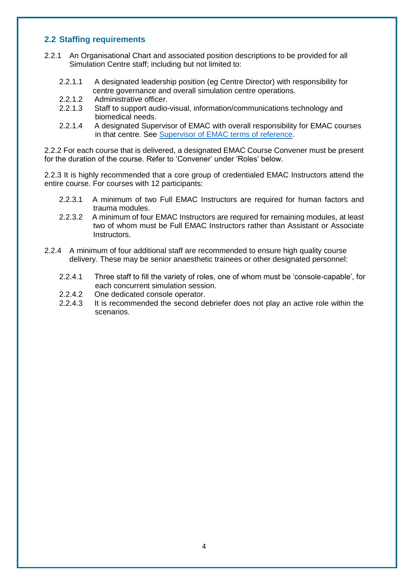#### <span id="page-4-0"></span>**2.2 Staffing requirements**

- 2.2.1 An Organisational Chart and associated position descriptions to be provided for all Simulation Centre staff; including but not limited to:
	- 2.2.1.1 A designated leadership position (eg Centre Director) with responsibility for centre governance and overall simulation centre operations.
	- 2.2.1.2 Administrative officer.
	- 2.2.1.3 Staff to support audio-visual, information/communications technology and biomedical needs.
	- 2.2.1.4 A designated Supervisor of EMAC with overall responsibility for EMAC courses in that centre. See [Supervisor of EMAC terms of reference.](https://networks.anzca.edu.au/d2l/le/content/7396/viewContent/85961/View)

2.2.2 For each course that is delivered, a designated EMAC Course Convener must be present for the duration of the course. Refer to 'Convener' under 'Roles' below.

2.2.3 It is highly recommended that a core group of credentialed EMAC Instructors attend the entire course. For courses with 12 participants:

- 2.2.3.1 A minimum of two Full EMAC Instructors are required for human factors and trauma modules.
- 2.2.3.2 A minimum of four EMAC Instructors are required for remaining modules, at least two of whom must be Full EMAC Instructors rather than Assistant or Associate **Instructors**
- 2.2.4 A minimum of four additional staff are recommended to ensure high quality course delivery. These may be senior anaesthetic trainees or other designated personnel:
	- 2.2.4.1 Three staff to fill the variety of roles, one of whom must be 'console-capable', for each concurrent simulation session.
	- 2.2.4.2 One dedicated console operator.
	- 2.2.4.3 It is recommended the second debriefer does not play an active role within the scenarios.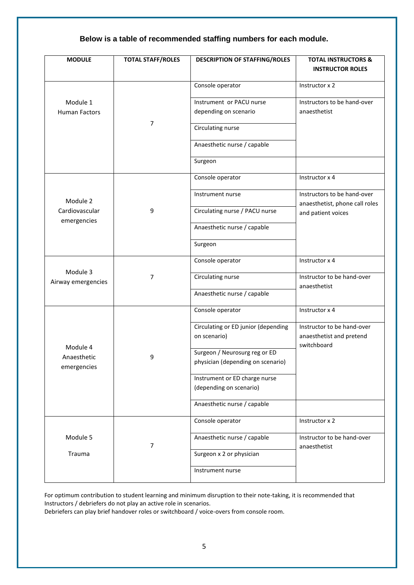## **Below is a table of recommended staffing numbers for each module.**

| <b>MODULE</b>                 | <b>TOTAL STAFF/ROLES</b> | <b>DESCRIPTION OF STAFFING/ROLES</b>                               | <b>TOTAL INSTRUCTORS &amp;</b><br><b>INSTRUCTOR ROLES</b>                           |  |
|-------------------------------|--------------------------|--------------------------------------------------------------------|-------------------------------------------------------------------------------------|--|
|                               |                          | Console operator                                                   | Instructor x 2                                                                      |  |
| Module 1<br>Human Factors     |                          | Instrument or PACU nurse<br>depending on scenario                  | Instructors to be hand-over<br>anaesthetist                                         |  |
|                               | 7                        | Circulating nurse                                                  |                                                                                     |  |
|                               |                          | Anaesthetic nurse / capable                                        |                                                                                     |  |
|                               |                          | Surgeon                                                            |                                                                                     |  |
|                               | 9                        | Console operator                                                   | Instructor x 4                                                                      |  |
| Module 2                      |                          | Instrument nurse                                                   | Instructors to be hand-over<br>anaesthetist, phone call roles<br>and patient voices |  |
| Cardiovascular<br>emergencies |                          | Circulating nurse / PACU nurse                                     |                                                                                     |  |
|                               |                          | Anaesthetic nurse / capable                                        |                                                                                     |  |
|                               |                          | Surgeon                                                            |                                                                                     |  |
| Module 3                      | $\overline{7}$           | Console operator                                                   | Instructor x 4                                                                      |  |
| Airway emergencies            |                          | Circulating nurse                                                  | Instructor to be hand-over<br>anaesthetist                                          |  |
|                               |                          | Anaesthetic nurse / capable                                        |                                                                                     |  |
|                               | 9                        | Console operator                                                   | Instructor x 4                                                                      |  |
|                               |                          | Circulating or ED junior (depending<br>on scenario)                | Instructor to be hand-over<br>anaesthetist and pretend<br>switchboard               |  |
| Module 4<br>Anaesthetic       |                          | Surgeon / Neurosurg reg or ED<br>physician (depending on scenario) |                                                                                     |  |
| emergencies                   |                          | Instrument or ED charge nurse<br>(depending on scenario)           |                                                                                     |  |
|                               |                          | Anaesthetic nurse / capable                                        |                                                                                     |  |
|                               | $\overline{7}$           | Console operator                                                   | Instructor x 2                                                                      |  |
| Module 5                      |                          | Anaesthetic nurse / capable                                        | Instructor to be hand-over<br>anaesthetist                                          |  |
| Trauma                        |                          | Surgeon x 2 or physician                                           |                                                                                     |  |
|                               |                          | Instrument nurse                                                   |                                                                                     |  |

For optimum contribution to student learning and minimum disruption to their note-taking, it is recommended that Instructors / debriefers do not play an active role in scenarios.

Debriefers can play brief handover roles or switchboard / voice-overs from console room.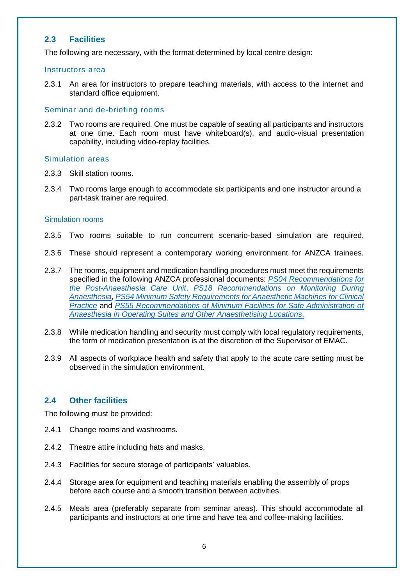#### <span id="page-6-0"></span>**2.3 Facilities**

The following are necessary, with the format determined by local centre design:

#### Instructors area

2.3.1 An area for instructors to prepare teaching materials, with access to the internet and standard office equipment.

#### Seminar and de-briefing rooms

2.3.2 Two rooms are required. One must be capable of seating all participants and instructors at one time. Each room must have whiteboard(s), and audio-visual presentation capability, including video-replay facilities.

#### Simulation areas

- 2.3.3 Skill station rooms.
- 2.3.4 Two rooms large enough to accommodate six participants and one instructor around a part-task trainer are required.

#### Simulation rooms

- 2.3.5 Two rooms suitable to run concurrent scenario-based simulation are required.
- 2.3.6 These should represent a contemporary working environment for ANZCA trainees.
- 2.3.7 The rooms, equipment and medication handling procedures must meet the requirements specified in the following ANZCA professional documents: *[PS04 Recommendations for](https://www.anzca.edu.au/getattachment/7045495a-0f12-4464-852c-b93c0453e1ed/PS04-Statement-on-the-post-anaesthesia-care-unit#page=)  [the Post-Anaesthesia Care Unit](https://www.anzca.edu.au/getattachment/7045495a-0f12-4464-852c-b93c0453e1ed/PS04-Statement-on-the-post-anaesthesia-care-unit#page=)*, *[PS18 Recommendations on Monitoring During](https://www.anzca.edu.au/getattachment/d2ef10af-bfad-4e1a-8e6d-cdb4d7555cc8/PS18BP-Guideline-on-monitoring-during-anaesthesia-Background-Paper#page=)  [Anaesthesia](https://www.anzca.edu.au/getattachment/d2ef10af-bfad-4e1a-8e6d-cdb4d7555cc8/PS18BP-Guideline-on-monitoring-during-anaesthesia-Background-Paper#page=)*, *[PS54 Minimum Safety Requirements for Anaesthetic Machines for Clinical](https://www.anzca.edu.au/getattachment/f05e02ec-2023-4c50-b57f-9549ea0c4183/PS54-Statement-on-the-minimum-safety-requirements-for-anaesthetic-machines-and-workstations-for-clinical-practice#page=)  [Practice](https://www.anzca.edu.au/getattachment/f05e02ec-2023-4c50-b57f-9549ea0c4183/PS54-Statement-on-the-minimum-safety-requirements-for-anaesthetic-machines-and-workstations-for-clinical-practice#page=)* and *[PS55 Recommendations of Minimum Facilities for Safe Administration of](https://www.anzca.edu.au/getattachment/7ee1b267-8c29-414e-86c2-6d0e50933d43/PS55-Recommendations-on-minimum-facilities-for-safe-administration-of-anaesthesia-in-operating-suites-and-other-anaesthetising-locations#page=)  [Anaesthesia in Operating Suites and Other Anaesthetising Locations](https://www.anzca.edu.au/getattachment/7ee1b267-8c29-414e-86c2-6d0e50933d43/PS55-Recommendations-on-minimum-facilities-for-safe-administration-of-anaesthesia-in-operating-suites-and-other-anaesthetising-locations#page=)*.
- 2.3.8 While medication handling and security must comply with local regulatory requirements, the form of medication presentation is at the discretion of the Supervisor of EMAC.
- 2.3.9 All aspects of workplace health and safety that apply to the acute care setting must be observed in the simulation environment.

#### <span id="page-6-1"></span>**2.4 Other facilities**

The following must be provided:

- 2.4.1 Change rooms and washrooms.
- 2.4.2 Theatre attire including hats and masks.
- 2.4.3 Facilities for secure storage of participants' valuables.
- 2.4.4 Storage area for equipment and teaching materials enabling the assembly of props before each course and a smooth transition between activities.
- 2.4.5 Meals area (preferably separate from seminar areas). This should accommodate all participants and instructors at one time and have tea and coffee-making facilities.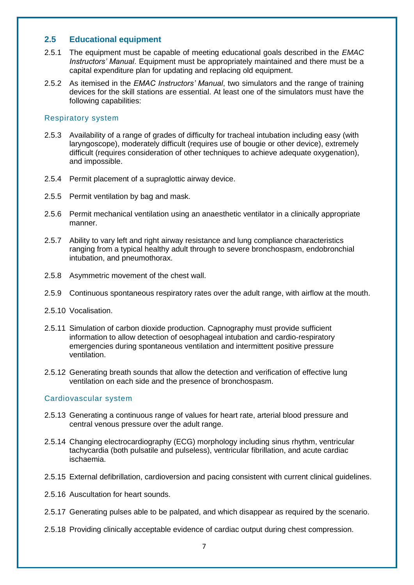#### <span id="page-7-0"></span>**2.5 Educational equipment**

- 2.5.1 The equipment must be capable of meeting educational goals described in the *EMAC Instructors' Manual*. Equipment must be appropriately maintained and there must be a capital expenditure plan for updating and replacing old equipment.
- 2.5.2 As itemised in the *EMAC Instructors' Manual*, two simulators and the range of training devices for the skill stations are essential. At least one of the simulators must have the following capabilities:

#### Respiratory system

- 2.5.3 Availability of a range of grades of difficulty for tracheal intubation including easy (with laryngoscope), moderately difficult (requires use of bougie or other device), extremely difficult (requires consideration of other techniques to achieve adequate oxygenation), and impossible.
- 2.5.4 Permit placement of a supraglottic airway device.
- 2.5.5 Permit ventilation by bag and mask.
- 2.5.6 Permit mechanical ventilation using an anaesthetic ventilator in a clinically appropriate manner.
- 2.5.7 Ability to vary left and right airway resistance and lung compliance characteristics ranging from a typical healthy adult through to severe bronchospasm, endobronchial intubation, and pneumothorax.
- 2.5.8 Asymmetric movement of the chest wall.
- 2.5.9 Continuous spontaneous respiratory rates over the adult range, with airflow at the mouth.
- 2.5.10 Vocalisation.
- 2.5.11 Simulation of carbon dioxide production. Capnography must provide sufficient information to allow detection of oesophageal intubation and cardio-respiratory emergencies during spontaneous ventilation and intermittent positive pressure ventilation.
- 2.5.12 Generating breath sounds that allow the detection and verification of effective lung ventilation on each side and the presence of bronchospasm.

#### Cardiovascular system

- 2.5.13 Generating a continuous range of values for heart rate, arterial blood pressure and central venous pressure over the adult range.
- 2.5.14 Changing electrocardiography (ECG) morphology including sinus rhythm, ventricular tachycardia (both pulsatile and pulseless), ventricular fibrillation, and acute cardiac ischaemia.
- 2.5.15 External defibrillation, cardioversion and pacing consistent with current clinical guidelines.
- 2.5.16 Auscultation for heart sounds.
- 2.5.17 Generating pulses able to be palpated, and which disappear as required by the scenario.
- 2.5.18 Providing clinically acceptable evidence of cardiac output during chest compression.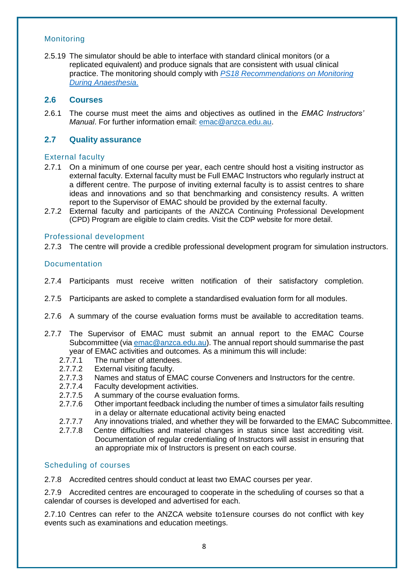#### Monitoring

2.5.19 The simulator should be able to interface with standard clinical monitors (or a replicated equivalent) and produce signals that are consistent with usual clinical practice. The monitoring should comply with *[PS18 Recommendations on Monitoring](https://www.anzca.edu.au/getattachment/0c2d9717-fa82-4507-a3d6-3533d8fa844d/PS18-Guideline-on-monitoring-during-anaesthesia#page=)  [During Anaesthesia](https://www.anzca.edu.au/getattachment/0c2d9717-fa82-4507-a3d6-3533d8fa844d/PS18-Guideline-on-monitoring-during-anaesthesia#page=)*.

#### <span id="page-8-0"></span>**2.6 Courses**

2.6.1 The course must meet the aims and objectives as outlined in the *EMAC Instructors' Manual*. For further information email: [emac@anzca.edu.au.](mailto:emac@anzca.edu.au)

## <span id="page-8-1"></span>**2.7 Quality assurance**

#### External faculty

- 2.7.1 On a minimum of one course per year, each centre should host a visiting instructor as external faculty. External faculty must be Full EMAC Instructors who regularly instruct at a different centre. The purpose of inviting external faculty is to assist centres to share ideas and innovations and so that benchmarking and consistency results. A written report to the Supervisor of EMAC should be provided by the external faculty.
- 2.7.2 External faculty and participants of the ANZCA Continuing Professional Development (CPD) Program are eligible to claim credits. Visit the CDP website for more detail.

#### Professional development

2.7.3 The centre will provide a credible professional development program for simulation instructors.

#### Documentation

- 2.7.4 Participants must receive written notification of their satisfactory completion.
- 2.7.5 Participants are asked to complete a standardised evaluation form for all modules.
- 2.7.6 A summary of the course evaluation forms must be available to accreditation teams.
- 2.7.7 The Supervisor of EMAC must submit an annual report to the EMAC Course Subcommittee (vi[a emac@anzca.edu.au\)](mailto:emac@anzca.edu.au). The annual report should summarise the past year of EMAC activities and outcomes. As a minimum this will include:
	- 2.7.7.1 The number of attendees.
	- 2.7.7.2 External visiting faculty.<br>2.7.7.3 Names and status of EM
	- Names and status of EMAC course Conveners and Instructors for the centre.
	- 2.7.7.4 Faculty development activities.
	- 2.7.7.5 A summary of the course evaluation forms.
	- 2.7.7.6 Other important feedback including the number of times a simulator fails resulting in a delay or alternate educational activity being enacted
	- 2.7.7.7 Any innovations trialed, and whether they will be forwarded to the EMAC Subcommittee.
	- 2.7.7.8 Centre difficulties and material changes in status since last accrediting visit. Documentation of regular credentialing of Instructors will assist in ensuring that an appropriate mix of Instructors is present on each course.

#### Scheduling of courses

2.7.8 Accredited centres should conduct at least two EMAC courses per year.

2.7.9 Accredited centres are encouraged to cooperate in the scheduling of courses so that a calendar of courses is developed and advertised for each.

2.7.10 Centres can refer to the ANZCA website to1ensure courses do not conflict with key events such as examinations and education meetings.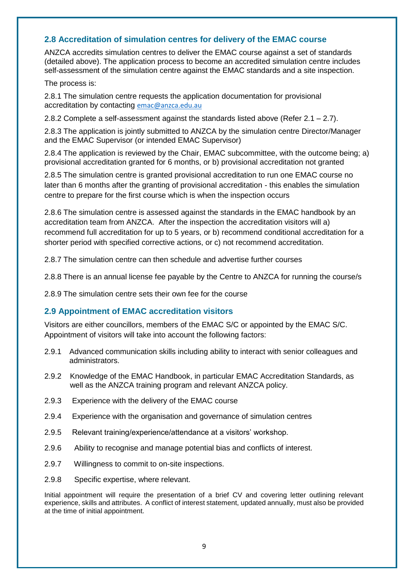#### <span id="page-9-0"></span>**2.8 Accreditation of simulation centres for delivery of the EMAC course**

ANZCA accredits simulation centres to deliver the EMAC course against a set of standards (detailed above). The application process to become an accredited simulation centre includes self-assessment of the simulation centre against the EMAC standards and a site inspection.

#### The process is:

2.8.1 The simulation centre requests the application documentation for provisional accreditation by contacting [emac@anzca.edu.au](mailto:emac@anzca.edu.au)

2.8.2 Complete a self-assessment against the standards listed above (Refer  $2.1 - 2.7$ ).

2.8.3 The application is jointly submitted to ANZCA by the simulation centre Director/Manager and the EMAC Supervisor (or intended EMAC Supervisor)

2.8.4 The application is reviewed by the Chair, EMAC subcommittee, with the outcome being; a) provisional accreditation granted for 6 months, or b) provisional accreditation not granted

2.8.5 The simulation centre is granted provisional accreditation to run one EMAC course no later than 6 months after the granting of provisional accreditation - this enables the simulation centre to prepare for the first course which is when the inspection occurs

2.8.6 The simulation centre is assessed against the standards in the EMAC handbook by an accreditation team from ANZCA. After the inspection the accreditation visitors will a) recommend full accreditation for up to 5 years, or b) recommend conditional accreditation for a shorter period with specified corrective actions, or c) not recommend accreditation.

2.8.7 The simulation centre can then schedule and advertise further courses

2.8.8 There is an annual license fee payable by the Centre to ANZCA for running the course/s

2.8.9 The simulation centre sets their own fee for the course

#### <span id="page-9-1"></span>**2.9 Appointment of EMAC accreditation visitors**

Visitors are either councillors, members of the EMAC S/C or appointed by the EMAC S/C. Appointment of visitors will take into account the following factors:

- 2.9.1 Advanced communication skills including ability to interact with senior colleagues and administrators.
- 2.9.2 Knowledge of the EMAC Handbook, in particular EMAC Accreditation Standards, as well as the ANZCA training program and relevant ANZCA policy.
- 2.9.3 Experience with the delivery of the EMAC course
- 2.9.4 Experience with the organisation and governance of simulation centres
- 2.9.5 Relevant training/experience/attendance at a visitors' workshop.
- 2.9.6 Ability to recognise and manage potential bias and conflicts of interest.
- 2.9.7 Willingness to commit to on-site inspections.
- 2.9.8 Specific expertise, where relevant.

Initial appointment will require the presentation of a brief CV and covering letter outlining relevant experience, skills and attributes. A conflict of interest statement, updated annually, must also be provided at the time of initial appointment.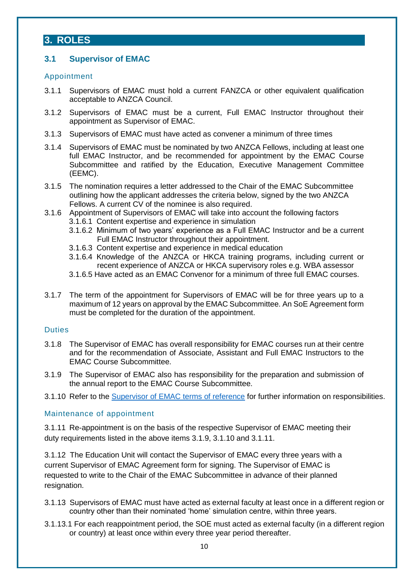## <span id="page-10-0"></span>**3. ROLES**

## <span id="page-10-1"></span>**3.1 Supervisor of EMAC**

#### Appointment

- 3.1.1 Supervisors of EMAC must hold a current FANZCA or other equivalent qualification acceptable to ANZCA Council.
- 3.1.2 Supervisors of EMAC must be a current, Full EMAC Instructor throughout their appointment as Supervisor of EMAC.
- 3.1.3 Supervisors of EMAC must have acted as convener a minimum of three times
- 3.1.4 Supervisors of EMAC must be nominated by two ANZCA Fellows, including at least one full EMAC Instructor, and be recommended for appointment by the EMAC Course Subcommittee and ratified by the Education, Executive Management Committee (EEMC).
- 3.1.5 The nomination requires a letter addressed to the Chair of the EMAC Subcommittee outlining how the applicant addresses the criteria below, signed by the two ANZCA Fellows. A current CV of the nominee is also required.
- 3.1.6 Appointment of Supervisors of EMAC will take into account the following factors
	- 3.1.6.1 Content expertise and experience in simulation
	- 3.1.6.2 Minimum of two years' experience as a Full EMAC Instructor and be a current Full EMAC Instructor throughout their appointment.
	- 3.1.6.3 Content expertise and experience in medical education
	- 3.1.6.4 Knowledge of the ANZCA or HKCA training programs, including current or recent experience of ANZCA or HKCA supervisory roles e.g. WBA assessor
	- 3.1.6.5 Have acted as an EMAC Convenor for a minimum of three full EMAC courses.
- 3.1.7 The term of the appointment for Supervisors of EMAC will be for three years up to a maximum of 12 years on approval by the EMAC Subcommittee. An SoE Agreement form must be completed for the duration of the appointment.

#### **Duties**

- 3.1.8 The Supervisor of EMAC has overall responsibility for EMAC courses run at their centre and for the recommendation of Associate, Assistant and Full EMAC Instructors to the EMAC Course Subcommittee.
- 3.1.9 The Supervisor of EMAC also has responsibility for the preparation and submission of the annual report to the EMAC Course Subcommittee.
- 3.1.10 Refer to the [Supervisor of EMAC terms of reference](http://www.anzca.edu.au/documents/eu-emac-supervisor-of-emac-tor-20170206-v1-0) for further information on responsibilities.

#### Maintenance of appointment

3.1.11 Re-appointment is on the basis of the respective Supervisor of EMAC meeting their duty requirements listed in the above items 3.1.9, 3.1.10 and 3.1.11.

3.1.12 The Education Unit will contact the Supervisor of EMAC every three years with a current Supervisor of EMAC Agreement form for signing. The Supervisor of EMAC is requested to write to the Chair of the EMAC Subcommittee in advance of their planned resignation.

- 3.1.13 Supervisors of EMAC must have acted as external faculty at least once in a different region or country other than their nominated 'home' simulation centre, within three years.
- 3.1.13.1 For each reappointment period, the SOE must acted as external faculty (in a different region or country) at least once within every three year period thereafter.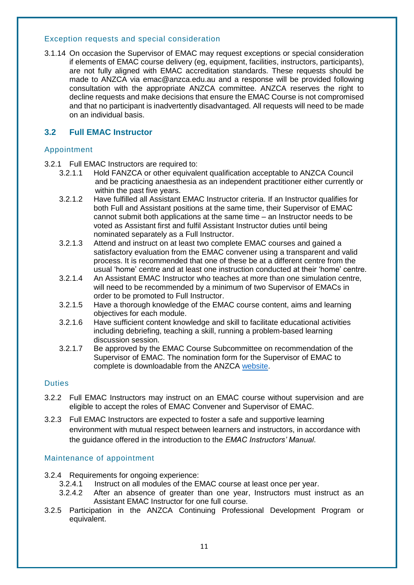#### Exception requests and special consideration

3.1.14 On occasion the Supervisor of EMAC may request exceptions or special consideration if elements of EMAC course delivery (eg, equipment, facilities, instructors, participants), are not fully aligned with EMAC accreditation standards. These requests should be made to ANZCA via emac@anzca.edu.au and a response will be provided following consultation with the appropriate ANZCA committee. ANZCA reserves the right to decline requests and make decisions that ensure the EMAC Course is not compromised and that no participant is inadvertently disadvantaged. All requests will need to be made on an individual basis.

#### <span id="page-11-0"></span>**3.2 Full EMAC Instructor**

#### Appointment

- 3.2.1 Full EMAC Instructors are required to:
	- 3.2.1.1 Hold FANZCA or other equivalent qualification acceptable to ANZCA Council and be practicing anaesthesia as an independent practitioner either currently or within the past five years.
	- 3.2.1.2 Have fulfilled all Assistant EMAC Instructor criteria. If an Instructor qualifies for both Full and Assistant positions at the same time, their Supervisor of EMAC cannot submit both applications at the same time – an Instructor needs to be voted as Assistant first and fulfil Assistant Instructor duties until being nominated separately as a Full Instructor.
	- 3.2.1.3 Attend and instruct on at least two complete EMAC courses and gained a satisfactory evaluation from the EMAC convener using a transparent and valid process. It is recommended that one of these be at a different centre from the usual 'home' centre and at least one instruction conducted at their 'home' centre.
	- 3.2.1.4 An Assistant EMAC Instructor who teaches at more than one simulation centre, will need to be recommended by a minimum of two Supervisor of EMACs in order to be promoted to Full Instructor.
	- 3.2.1.5 Have a thorough knowledge of the EMAC course content, aims and learning objectives for each module.
	- 3.2.1.6 Have sufficient content knowledge and skill to facilitate educational activities including debriefing, teaching a skill, running a problem-based learning discussion session.
	- 3.2.1.7 Be approved by the EMAC Course Subcommittee on recommendation of the Supervisor of EMAC. The nomination form for the Supervisor of EMAC to complete is downloadable from the ANZCA [website.](https://www.anzca.edu.au/getattachment/a5204013-7ee4-483e-b3ad-b2f5529d3603/Full-EMAC-Instructor-application-form#page=)

#### **Duties**

- 3.2.2 Full EMAC Instructors may instruct on an EMAC course without supervision and are eligible to accept the roles of EMAC Convener and Supervisor of EMAC.
- 3.2.3 Full EMAC Instructors are expected to foster a safe and supportive learning environment with mutual respect between learners and instructors, in accordance with the guidance offered in the introduction to the *EMAC Instructors' Manual*.

#### Maintenance of appointment

- 3.2.4 Requirements for ongoing experience:
	- 3.2.4.1 Instruct on all modules of the EMAC course at least once per year.
	- 3.2.4.2 After an absence of greater than one year, Instructors must instruct as an Assistant EMAC Instructor for one full course.
- 3.2.5 Participation in the ANZCA Continuing Professional Development Program or equivalent.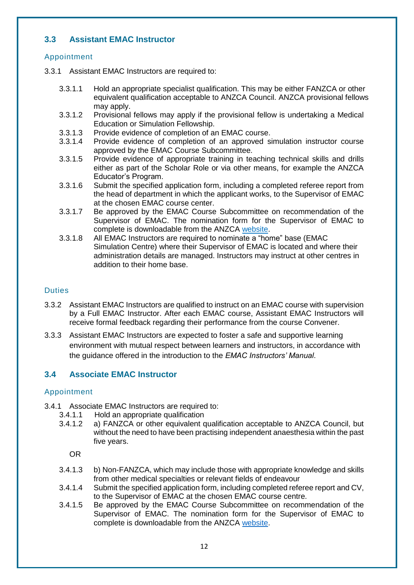#### <span id="page-12-0"></span>**3.3 Assistant EMAC Instructor**

#### Appointment

- 3.3.1 Assistant EMAC Instructors are required to:
	- 3.3.1.1 Hold an appropriate specialist qualification. This may be either FANZCA or other equivalent qualification acceptable to ANZCA Council. ANZCA provisional fellows may apply.
	- 3.3.1.2 Provisional fellows may apply if the provisional fellow is undertaking a Medical Education or Simulation Fellowship.
	- 3.3.1.3 Provide evidence of completion of an EMAC course.
	- 3.3.1.4 Provide evidence of completion of an approved simulation instructor course approved by the EMAC Course Subcommittee.
	- 3.3.1.5 Provide evidence of appropriate training in teaching technical skills and drills either as part of the Scholar Role or via other means, for example the ANZCA Educator's Program.
	- 3.3.1.6 Submit the specified application form, including a completed referee report from the head of department in which the applicant works, to the Supervisor of EMAC at the chosen EMAC course center.
	- 3.3.1.7 Be approved by the EMAC Course Subcommittee on recommendation of the Supervisor of EMAC. The nomination form for the Supervisor of EMAC to complete is downloadable from the ANZCA [website.](https://www.anzca.edu.au/getattachment/e3c4c2da-a93f-4d5f-a944-3904b4ba2c06/Assistant-EMAC-Instructor-application-form#page=)
	- 3.3.1.8 All EMAC Instructors are required to nominate a "home" base (EMAC Simulation Centre) where their Supervisor of EMAC is located and where their administration details are managed. Instructors may instruct at other centres in addition to their home base.

#### **Duties**

- 3.3.2 Assistant EMAC Instructors are qualified to instruct on an EMAC course with supervision by a Full EMAC Instructor. After each EMAC course, Assistant EMAC Instructors will receive formal feedback regarding their performance from the course Convener.
- 3.3.3 Assistant EMAC Instructors are expected to foster a safe and supportive learning environment with mutual respect between learners and instructors, in accordance with the guidance offered in the introduction to the *EMAC Instructors' Manual*.

#### <span id="page-12-1"></span>**3.4 Associate EMAC Instructor**

#### Appointment

- 3.4.1 Associate EMAC Instructors are required to:
	- 3.4.1.1 Hold an appropriate qualification
	- 3.4.1.2 a) FANZCA or other equivalent qualification acceptable to ANZCA Council, but without the need to have been practising independent anaesthesia within the past five years.

OR

- 3.4.1.3 b) Non-FANZCA, which may include those with appropriate knowledge and skills from other medical specialties or relevant fields of endeavour
- 3.4.1.4 Submit the specified application form, including completed referee report and CV, to the Supervisor of EMAC at the chosen EMAC course centre.
- 3.4.1.5 Be approved by the EMAC Course Subcommittee on recommendation of the Supervisor of EMAC. The nomination form for the Supervisor of EMAC to complete is downloadable from the ANZCA [website.](https://www.anzca.edu.au/getattachment/99f1b14d-2d48-4671-aacd-d0af2d595301/Associate-EMAC-Instructor-application-form#page=)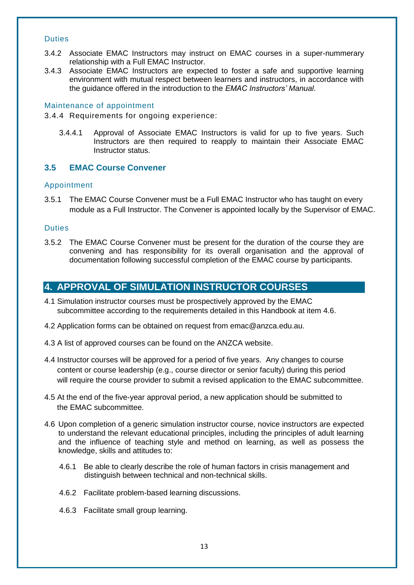#### Duties

- 3.4.2 Associate EMAC Instructors may instruct on EMAC courses in a super-nummerary relationship with a Full EMAC Instructor.
- 3.4.3 Associate EMAC Instructors are expected to foster a safe and supportive learning environment with mutual respect between learners and instructors, in accordance with the guidance offered in the introduction to the *EMAC Instructors' Manual*.

#### Maintenance of appointment

3.4.4 Requirements for ongoing experience:

3.4.4.1 Approval of Associate EMAC Instructors is valid for up to five years. Such Instructors are then required to reapply to maintain their Associate EMAC Instructor status.

#### <span id="page-13-0"></span>**3.5 EMAC Course Convener**

#### Appointment

3.5.1 The EMAC Course Convener must be a Full EMAC Instructor who has taught on every module as a Full Instructor. The Convener is appointed locally by the Supervisor of EMAC.

#### **Duties**

3.5.2 The EMAC Course Convener must be present for the duration of the course they are convening and has responsibility for its overall organisation and the approval of documentation following successful completion of the EMAC course by participants.

## <span id="page-13-1"></span>**4. APPROVAL OF SIMULATION INSTRUCTOR COURSES**

- 4.1 Simulation instructor courses must be prospectively approved by the EMAC subcommittee according to the requirements detailed in this Handbook at item 4.6.
- 4.2 Application forms can be obtained on request from emac@anzca.edu.au.
- 4.3 A list of approved courses can be found on the ANZCA website.
- 4.4 Instructor courses will be approved for a period of five years. Any changes to course content or course leadership (e.g., course director or senior faculty) during this period will require the course provider to submit a revised application to the EMAC subcommittee.
- 4.5 At the end of the five-year approval period, a new application should be submitted to the EMAC subcommittee.
- 4.6 Upon completion of a generic simulation instructor course, novice instructors are expected to understand the relevant educational principles, including the principles of adult learning and the influence of teaching style and method on learning, as well as possess the knowledge, skills and attitudes to:
	- 4.6.1 Be able to clearly describe the role of human factors in crisis management and distinguish between technical and non-technical skills.
	- 4.6.2 Facilitate problem-based learning discussions.
	- 4.6.3 Facilitate small group learning.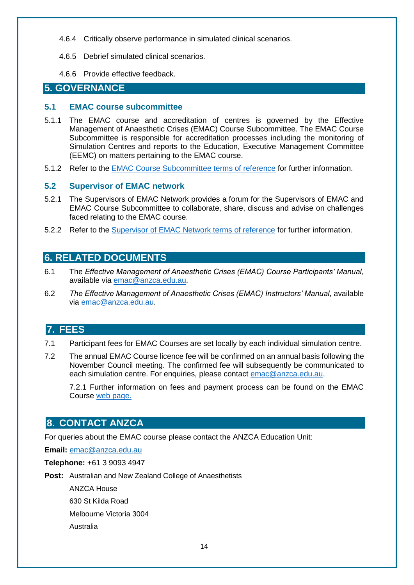- 4.6.4 Critically observe performance in simulated clinical scenarios.
- 4.6.5 Debrief simulated clinical scenarios.
- 4.6.6 Provide effective feedback.

## <span id="page-14-0"></span>**5. GOVERNANCE**

#### <span id="page-14-1"></span>**5.1 EMAC course subcommittee**

- 5.1.1 The EMAC course and accreditation of centres is governed by the Effective Management of Anaesthetic Crises (EMAC) Course Subcommittee. The EMAC Course Subcommittee is responsible for accreditation processes including the monitoring of Simulation Centres and reports to the Education, Executive Management Committee (EEMC) on matters pertaining to the EMAC course.
- 5.1.2 Refer to the [EMAC Course Subcommittee terms of reference](https://networks.anzca.edu.au/d2l/le/content/7396/viewContent/85994/View) for further information.

#### <span id="page-14-2"></span>**5.2 Supervisor of EMAC network**

- 5.2.1 The Supervisors of EMAC Network provides a forum for the Supervisors of EMAC and EMAC Course Subcommittee to collaborate, share, discuss and advise on challenges faced relating to the EMAC course.
- 5.2.2 Refer to the [Supervisor of EMAC Network terms of reference](https://networks.anzca.edu.au/d2l/le/content/7396/viewContent/85961/View) for further information.

## <span id="page-14-3"></span>**6. RELATED DOCUMENTS**

- 6.1 The *Effective Management of Anaesthetic Crises (EMAC) Course Participants' Manual*, available via [emac@anzca.edu.au.](mailto:emac@anzca.edu.au)
- 6.2 *The Effective Management of Anaesthetic Crises (EMAC) Instructors' Manual*, available via [emac@anzca.edu.au.](mailto:emac@anzca.edu.au)

## <span id="page-14-4"></span>**7. FEES**

- 7.1 Participant fees for EMAC Courses are set locally by each individual simulation centre.
- 7.2 The annual EMAC Course licence fee will be confirmed on an annual basis following the November Council meeting. The confirmed fee will subsequently be communicated to each simulation centre. For enquiries, please contact [emac@anzca.edu.au.](mailto:emac@anzca.edu.au)

7.2.1 Further information on fees and payment process can be found on the EMAC Course [web page.](https://www.anzca.edu.au/education-training/cme-courses-and-resources/emac-course)

## **8. CONTACT ANZCA**

For queries about the EMAC course please contact the ANZCA Education Unit:

**Email:** [emac@anzca.edu.au](mailto:emac@anzca.edu.au)

**Telephone:** +61 3 9093 4947

**Post:** Australian and New Zealand College of Anaesthetists

ANZCA House 630 St Kilda Road Melbourne Victoria 3004 Australia